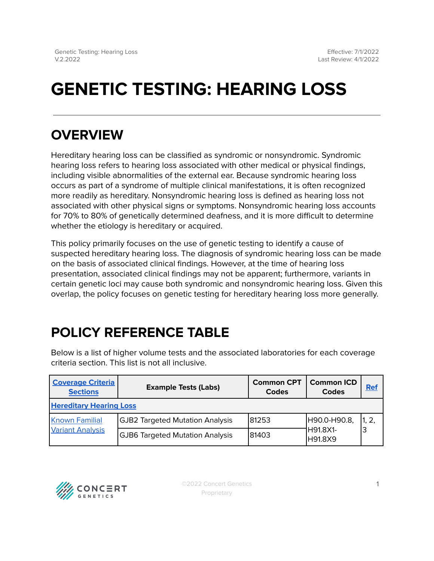# **GENETIC TESTING: HEARING LOSS**

### **OVERVIEW**

Hereditary hearing loss can be classified as syndromic or nonsyndromic. Syndromic hearing loss refers to hearing loss associated with other medical or physical findings, including visible abnormalities of the external ear. Because syndromic hearing loss occurs as part of a syndrome of multiple clinical manifestations, it is often recognized more readily as hereditary. Nonsyndromic hearing loss is defined as hearing loss not associated with other physical signs or symptoms. Nonsyndromic hearing loss accounts for 70% to 80% of genetically determined deafness, and it is more difficult to determine whether the etiology is hereditary or acquired.

This policy primarily focuses on the use of genetic testing to identify a cause of suspected hereditary hearing loss. The diagnosis of syndromic hearing loss can be made on the basis of associated clinical findings. However, at the time of hearing loss presentation, associated clinical findings may not be apparent; furthermore, variants in certain genetic loci may cause both syndromic and nonsyndromic hearing loss. Given this overlap, the policy focuses on genetic testing for hereditary hearing loss more generally.

## <span id="page-0-0"></span>**POLICY REFERENCE TABLE**

Below is a list of higher volume tests and the associated laboratories for each coverage criteria section. This list is not all inclusive.

| <b>Coverage Criteria</b><br><b>Sections</b>      | <b>Example Tests (Labs)</b>            | <b>Common CPT</b><br>Codes | <b>Common ICD</b><br><b>Codes</b>    | <b>Ref</b> |  |  |  |  |  |
|--------------------------------------------------|----------------------------------------|----------------------------|--------------------------------------|------------|--|--|--|--|--|
| <b>Hereditary Hearing Loss</b>                   |                                        |                            |                                      |            |  |  |  |  |  |
| <b>Known Familial</b><br><b>Variant Analysis</b> | <b>GJB2 Targeted Mutation Analysis</b> | 81253                      | H90.0-H90.8,<br>H91.8X1-<br>IH91.8X9 |            |  |  |  |  |  |
|                                                  | <b>GJB6 Targeted Mutation Analysis</b> | 81403                      |                                      |            |  |  |  |  |  |

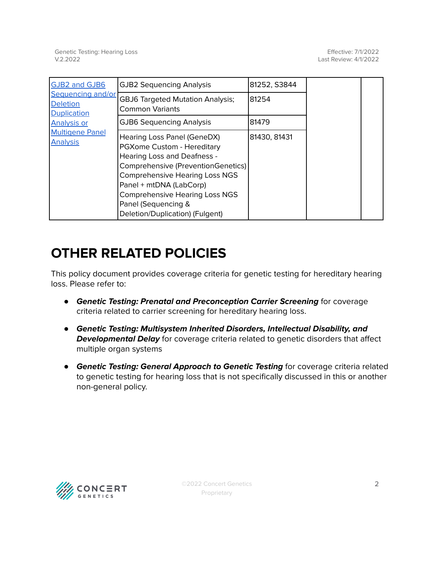| GJB2 and GJB6                                                   | <b>GJB2 Sequencing Analysis</b>                                                                                                                                                                                                                                                                              | 81252, S3844 |  |
|-----------------------------------------------------------------|--------------------------------------------------------------------------------------------------------------------------------------------------------------------------------------------------------------------------------------------------------------------------------------------------------------|--------------|--|
| Sequencing and/or<br><b>Deletion</b><br><b>Duplication</b>      | <b>GBJ6 Targeted Mutation Analysis;</b><br><b>Common Variants</b>                                                                                                                                                                                                                                            | 81254        |  |
| <b>Analysis or</b><br><b>Multigene Panel</b><br><b>Analysis</b> | <b>GJB6 Sequencing Analysis</b>                                                                                                                                                                                                                                                                              | 81479        |  |
|                                                                 | Hearing Loss Panel (GeneDX)<br>PGXome Custom - Hereditary<br><b>Hearing Loss and Deafness -</b><br>Comprehensive (PreventionGenetics)<br><b>Comprehensive Hearing Loss NGS</b><br>Panel + mtDNA (LabCorp)<br><b>Comprehensive Hearing Loss NGS</b><br>Panel (Sequencing &<br>Deletion/Duplication) (Fulgent) | 81430, 81431 |  |

## **OTHER RELATED POLICIES**

This policy document provides coverage criteria for genetic testing for hereditary hearing loss. Please refer to:

- **Genetic Testing: Prenatal and Preconception Carrier Screening** for coverage criteria related to carrier screening for hereditary hearing loss.
- **Genetic Testing: Multisystem Inherited Disorders, Intellectual Disability, and Developmental Delay** for coverage criteria related to genetic disorders that affect multiple organ systems
- **Genetic Testing: General Approach to Genetic Testing** for coverage criteria related to genetic testing for hearing loss that is not specifically discussed in this or another non-general policy.

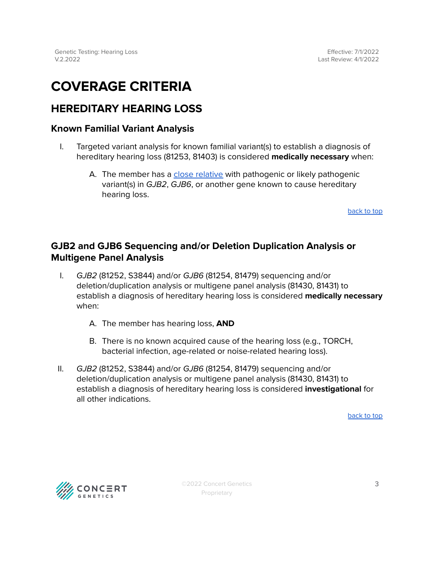### <span id="page-2-0"></span>**COVERAGE CRITERIA**

#### <span id="page-2-1"></span>**HEREDITARY HEARING LOSS**

#### <span id="page-2-2"></span>**Known Familial Variant Analysis**

- I. Targeted variant analysis for known familial variant(s) to establish a diagnosis of hereditary hearing loss (81253, 81403) is considered **medically necessary** when:
	- A. The member has a close [relative](#page-3-0) with pathogenic or likely pathogenic variant(s) in GJB2, GJB6, or another gene known to cause hereditary hearing loss.

[back](#page-0-0) to top

#### <span id="page-2-3"></span>**GJB2 and GJB6 Sequencing and/or Deletion Duplication Analysis or Multigene Panel Analysis**

- I. GJB2 (81252, S3844) and/or GJB6 (81254, 81479) sequencing and/or deletion/duplication analysis or multigene panel analysis (81430, 81431) to establish a diagnosis of hereditary hearing loss is considered **medically necessary** when:
	- A. The member has hearing loss, **AND**
	- B. There is no known acquired cause of the hearing loss (e.g., TORCH, bacterial infection, age-related or noise-related hearing loss).
- II. GJB2 (81252, S3844) and/or GJB6 (81254, 81479) sequencing and/or deletion/duplication analysis or multigene panel analysis (81430, 81431) to establish a diagnosis of hereditary hearing loss is considered **investigational** for all other indications.

[back](#page-0-0) to top

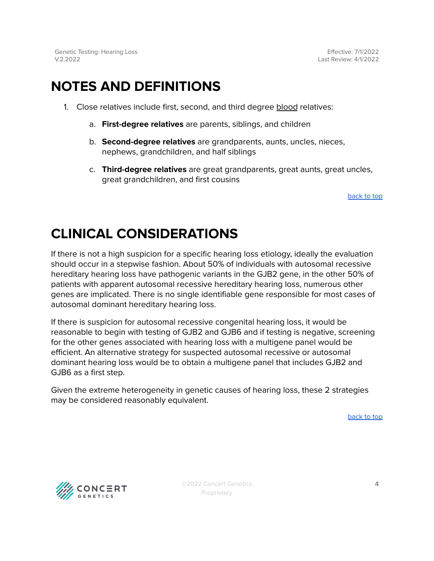Genetic Testing: Hearing Loss V.2.2022

Effective: 7/1/2022 Last Review: 4/1/2022

### <span id="page-3-0"></span>**NOTES AND DEFINITIONS**

- 1. Close relatives include first, second, and third degree blood relatives:
	- a. **First-degree relatives** are parents, siblings, and children
	- b. **Second-degree relatives** are grandparents, aunts, uncles, nieces, nephews, grandchildren, and half siblings
	- c. **Third-degree relatives** are great grandparents, great aunts, great uncles, great grandchildren, and first cousins

[back](#page-0-0) to top

### **CLINICAL CONSIDERATIONS**

If there is not a high suspicion for a specific hearing loss etiology, ideally the evaluation should occur in a stepwise fashion. About 50% of individuals with autosomal recessive hereditary hearing loss have pathogenic variants in the GJB2 gene, in the other 50% of patients with apparent autosomal recessive hereditary hearing loss, numerous other genes are implicated. There is no single identifiable gene responsible for most cases of autosomal dominant hereditary hearing loss.

If there is suspicion for autosomal recessive congenital hearing loss, it would be reasonable to begin with testing of GJB2 and GJB6 and if testing is negative, screening for the other genes associated with hearing loss with a multigene panel would be efficient. An alternative strategy for suspected autosomal recessive or autosomal dominant hearing loss would be to obtain a multigene panel that includes GJB2 and GJB6 as a first step.

Given the extreme heterogeneity in genetic causes of hearing loss, these 2 strategies may be considered reasonably equivalent.

[back](#page-0-0) to top



©2022 Concert Genetics Proprietary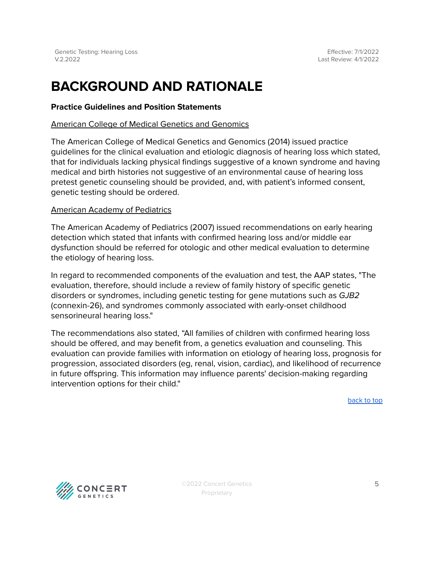#### **BACKGROUND AND RATIONALE**

#### **Practice Guidelines and Position Statements**

#### American College of Medical Genetics and Genomics

The American College of Medical Genetics and Genomics (2014) issued practice guidelines for the clinical evaluation and etiologic diagnosis of hearing loss which stated, that for individuals lacking physical findings suggestive of a known syndrome and having medical and birth histories not suggestive of an environmental cause of hearing loss pretest genetic counseling should be provided, and, with patient's informed consent, genetic testing should be ordered.

#### American Academy of Pediatrics

The American Academy of Pediatrics (2007) issued recommendations on early hearing detection which stated that infants with confirmed hearing loss and/or middle ear dysfunction should be referred for otologic and other medical evaluation to determine the etiology of hearing loss.

In regard to recommended components of the evaluation and test, the AAP states, "The evaluation, therefore, should include a review of family history of specific genetic disorders or syndromes, including genetic testing for gene mutations such as GJB2 (connexin-26), and syndromes commonly associated with early-onset childhood sensorineural hearing loss."

The recommendations also stated, "All families of children with confirmed hearing loss should be offered, and may benefit from, a genetics evaluation and counseling. This evaluation can provide families with information on etiology of hearing loss, prognosis for progression, associated disorders (eg, renal, vision, cardiac), and likelihood of recurrence in future offspring. This information may influence parents' decision-making regarding intervention options for their child."

[back](#page-0-0) to top



©2022 Concert Genetics Proprietary